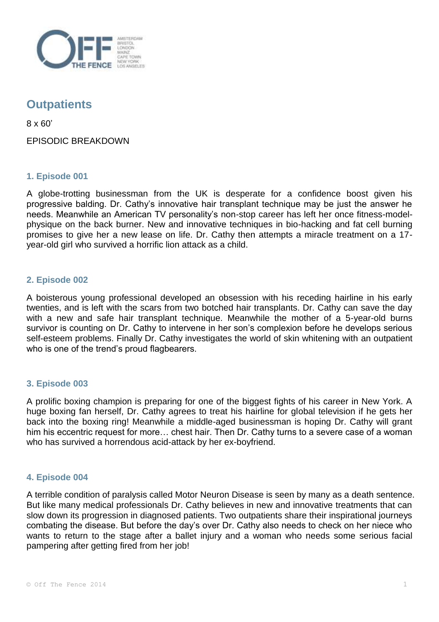

# **Outpatients**

8 x 60'

EPISODIC BREAKDOWN

# **1. Episode 001**

A globe-trotting businessman from the UK is desperate for a confidence boost given his progressive balding. Dr. Cathy's innovative hair transplant technique may be just the answer he needs. Meanwhile an American TV personality's non-stop career has left her once fitness-modelphysique on the back burner. New and innovative techniques in bio-hacking and fat cell burning promises to give her a new lease on life. Dr. Cathy then attempts a miracle treatment on a 17 year-old girl who survived a horrific lion attack as a child.

# **2. Episode 002**

A boisterous young professional developed an obsession with his receding hairline in his early twenties, and is left with the scars from two botched hair transplants. Dr. Cathy can save the day with a new and safe hair transplant technique. Meanwhile the mother of a 5-year-old burns survivor is counting on Dr. Cathy to intervene in her son's complexion before he develops serious self-esteem problems. Finally Dr. Cathy investigates the world of skin whitening with an outpatient who is one of the trend's proud flagbearers.

## **3. Episode 003**

A prolific boxing champion is preparing for one of the biggest fights of his career in New York. A huge boxing fan herself, Dr. Cathy agrees to treat his hairline for global television if he gets her back into the boxing ring! Meanwhile a middle-aged businessman is hoping Dr. Cathy will grant him his eccentric request for more… chest hair. Then Dr. Cathy turns to a severe case of a woman who has survived a horrendous acid-attack by her ex-boyfriend.

## **4. Episode 004**

A terrible condition of paralysis called Motor Neuron Disease is seen by many as a death sentence. But like many medical professionals Dr. Cathy believes in new and innovative treatments that can slow down its progression in diagnosed patients. Two outpatients share their inspirational journeys combating the disease. But before the day's over Dr. Cathy also needs to check on her niece who wants to return to the stage after a ballet injury and a woman who needs some serious facial pampering after getting fired from her job!